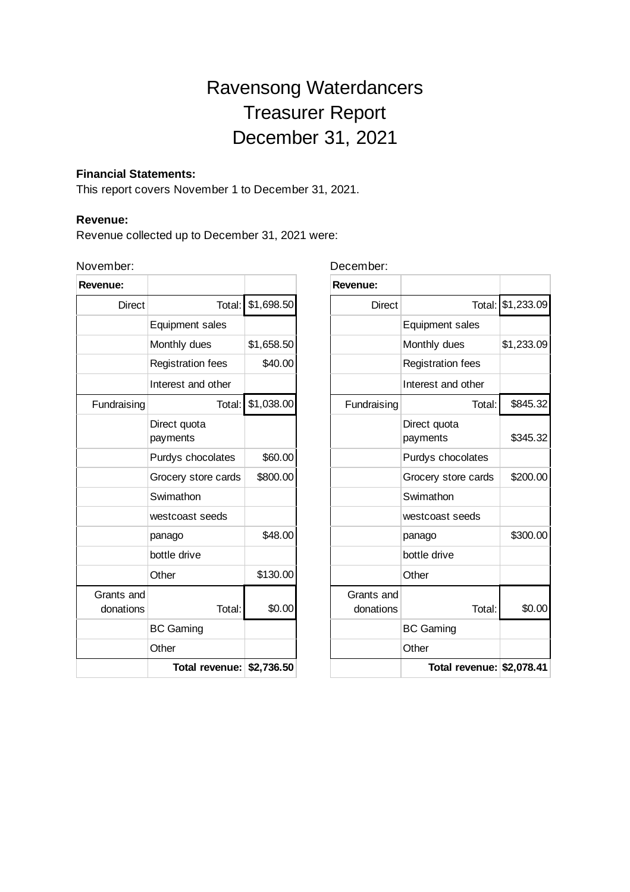# Ravensong Waterdancers Treasurer Report December 31, 2021

#### **Financial Statements:**

This report covers November 1 to December 31, 2021.

#### **Revenue:**

Revenue collected up to December 31, 2021 were:

### November:

| Revenue:                |                          |            |
|-------------------------|--------------------------|------------|
| <b>Direct</b>           | Total:                   | \$1,698.50 |
|                         | <b>Equipment sales</b>   |            |
|                         | Monthly dues             | \$1,658.50 |
|                         | <b>Registration fees</b> | \$40.00    |
|                         | Interest and other       |            |
| Fundraising             | Total:                   | \$1,038.00 |
|                         | Direct quota<br>payments |            |
|                         | Purdys chocolates        | \$60.00    |
|                         | Grocery store cards      | \$800.00   |
|                         | Swimathon                |            |
|                         | westcoast seeds          |            |
|                         | panago                   | \$48.00    |
|                         | bottle drive             |            |
|                         | Other                    | \$130.00   |
| Grants and<br>donations | Total:                   | \$0.00     |
|                         | <b>BC Gaming</b>         |            |
|                         | Other                    |            |
|                         | Total revenue:           | \$2,736.50 |

December:

| Revenue:                |                           |            |
|-------------------------|---------------------------|------------|
| <b>Direct</b>           | Total:                    | \$1,233.09 |
|                         | <b>Equipment sales</b>    |            |
|                         | Monthly dues              | \$1,233.09 |
|                         | <b>Registration fees</b>  |            |
|                         | Interest and other        |            |
| Fundraising             | Total:                    | \$845.32   |
|                         | Direct quota<br>payments  | \$345.32   |
|                         | Purdys chocolates         |            |
|                         | Grocery store cards       | \$200.00   |
|                         | Swimathon                 |            |
|                         | westcoast seeds           |            |
|                         | panago                    | \$300.00   |
|                         | bottle drive              |            |
|                         | Other                     |            |
| Grants and<br>donations | Total:                    | \$0.00     |
|                         | <b>BC Gaming</b>          |            |
|                         | Other                     |            |
|                         | Total revenue: \$2,078.41 |            |